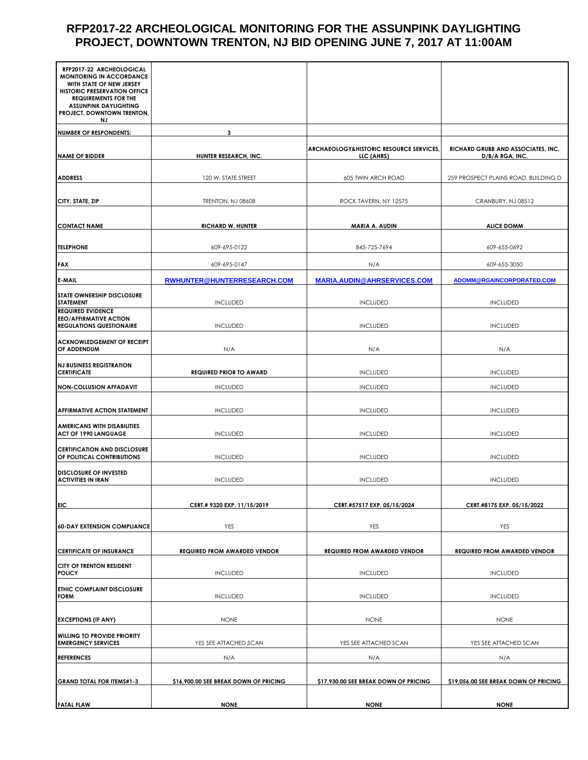## **RFP2017-22 ARCHEOLOGICAL MONITORING FOR THE ASSUNPINK DAYLIGHTING PROJECT, DOWNTOWN TRENTON, NJ BID OPENING JUNE 7, 2017 AT 11:00AM**

| RFP2017-22 ARCHEOLOGICAL<br><b>MONITORING IN ACCORDANCE</b>                                  |                                       |                                                                 |                                                       |
|----------------------------------------------------------------------------------------------|---------------------------------------|-----------------------------------------------------------------|-------------------------------------------------------|
| WITH STATE OF NEW JERSEY<br><b>HISTORIC PRESERVATION OFFICE</b>                              |                                       |                                                                 |                                                       |
| <b>REQUIREMENTS FOR THE</b><br><b>ASSUNPINK DAYLIGHTING</b>                                  |                                       |                                                                 |                                                       |
| PROJECT, DOWNTOWN TRENTON,<br>NJ.                                                            |                                       |                                                                 |                                                       |
| <b>NUMBER OF RESPONDENTS:</b>                                                                | 3                                     |                                                                 |                                                       |
| <b>NAME OF BIDDER</b>                                                                        | HUNTER RESEARCH, INC.                 | <b>ARCHAEOLOGY&amp;HISTORIC RESOURCE SERVICES</b><br>LLC (AHRS) | RICHARD GRUBB AND ASSOCIATES, INC.<br>D/B/A RGA, INC. |
| <b>ADDRESS</b>                                                                               | 120 W. STATE STREET                   | 605 TWIN ARCH ROAD                                              | 259 PROSPECT PLAINS ROAD, BUILDING D                  |
| CITY, STATE, ZIP                                                                             | <b>TRENTON, NJ 08608</b>              | ROCK TAVERN, NY 12575                                           | CRANBURY, NJ 08512                                    |
| <b>CONTACT NAME</b>                                                                          | <b>RICHARD W. HUNTER</b>              | MARIA A. AUDIN                                                  | <b>ALICE DOMM</b>                                     |
| <b>TELEPHONE</b>                                                                             | 609-695-0122                          | 845-725-7694                                                    | 609-655-0692                                          |
| <b>FAX</b>                                                                                   | 609-695-0147                          | N/A                                                             | 609-655-3050                                          |
| <b>E-MAIL</b>                                                                                | RWHUNTER@HUNTERRESEARCH.COM           | <b>MARIA.AUDIN@AHRSERVICES.COM</b>                              | ADOMM@RGAINCORPORATED.COM                             |
| <b>STATE OWNERSHIP DISCLOSURE</b><br><b>STATEMENT</b>                                        | <b>INCLUDED</b>                       | <b>INCLUDED</b>                                                 | <b>INCLUDED</b>                                       |
| <b>REQUIRED EVIDENCE</b><br><b>EEO/AFFIRMATIVE ACTION</b><br><b>REGULATIONS QUESTIONAIRE</b> | <b>INCLUDED</b>                       | <b>INCLUDED</b>                                                 | <b>INCLUDED</b>                                       |
| <b>ACKNOWLEDGEMENT OF RECEIPT</b><br>OF ADDENDUM                                             | N/A                                   | N/A                                                             | N/A                                                   |
| <b>NJ BUSINESS REGISTRATION</b><br><b>CERTIFICATE</b>                                        | <b>REQUIRED PRIOR TO AWARD</b>        | <b>INCLUDED</b>                                                 | <b>INCLUDED</b>                                       |
| <b>NON-COLLUSION AFFADAVIT</b>                                                               | <b>INCLUDED</b>                       | <b>INCLUDED</b>                                                 | <b>INCLUDED</b>                                       |
| <b>AFFIRMATIVE ACTION STATEMENT</b>                                                          | <b>INCLUDED</b>                       | <b>INCLUDED</b>                                                 | <b>INCLUDED</b>                                       |
| <b>AMERICANS WITH DISABILITIES</b><br><b>ACT OF 1990 LANGUAGE</b>                            | <b>INCLUDED</b>                       | <b>INCLUDED</b>                                                 | <b>INCLUDED</b>                                       |
| <b>CERTIFICATION AND DISCLOSURE</b><br>OF POLITICAL CONTRIBUTIONS                            | <b>INCLUDED</b>                       | <b>INCLUDED</b>                                                 | <b>INCLUDED</b>                                       |
| <b>DISCLOSURE OF INVESTED</b><br><b>ACTIVITIES IN IRAN</b>                                   | <b>INCLUDED</b>                       | <b>INCLUDED</b>                                                 | <b>INCLUDED</b>                                       |
| <b>EIC</b>                                                                                   | CERT.# 9320 EXP. 11/15/2019           | CERT.#57517 EXP. 05/15/2024                                     | CERT.#8175 EXP. 05/15/2022                            |
| <b>60-DAY EXTENSION COMPLIANCE</b>                                                           | YES                                   | YES                                                             | YES                                                   |
| <b>CERTIFICATE OF INSURANCE</b>                                                              | <b>REQUIRED FROM AWARDED VENDOR</b>   | <b>REQUIRED FROM AWARDED VENDOR</b>                             | <b>REQUIRED FROM AWARDED VENDOR</b>                   |
| <b>CITY OF TRENTON RESIDENT</b><br><b>POLICY</b>                                             | <b>INCLUDED</b>                       | <b>INCLUDED</b>                                                 | <b>INCLUDED</b>                                       |
| <b>ETHIC COMPLAINT DISCLOSURE</b><br><b>FORM</b>                                             | <b>INCLUDED</b>                       | <b>INCLUDED</b>                                                 | <b>INCLUDED</b>                                       |
| <b>EXCEPTIONS (IF ANY)</b>                                                                   | <b>NONE</b>                           | <b>NONE</b>                                                     | <b>NONE</b>                                           |
| <b>WILLING TO PROVIDE PRIORITY</b><br><b>EMERGENCY SERVICES</b>                              | YES SEE ATTACHED SCAN                 | YES SEE ATTACHED SCAN                                           | YES SEE ATTACHED SCAN                                 |
| <b>REFERENCES</b>                                                                            | N/A                                   | N/A                                                             | N/A                                                   |
| <b>GRAND TOTAL FOR ITEMS#1-3</b>                                                             | \$16,900.00 SEE BREAK DOWN OF PRICING | \$17,930.00 SEE BREAK DOWN OF PRICING                           | \$19,056.00 SEE BREAK DOWN OF PRICING                 |
| <b>FATAL FLAW</b>                                                                            | <b>NONE</b>                           | <b>NONE</b>                                                     | <b>NONE</b>                                           |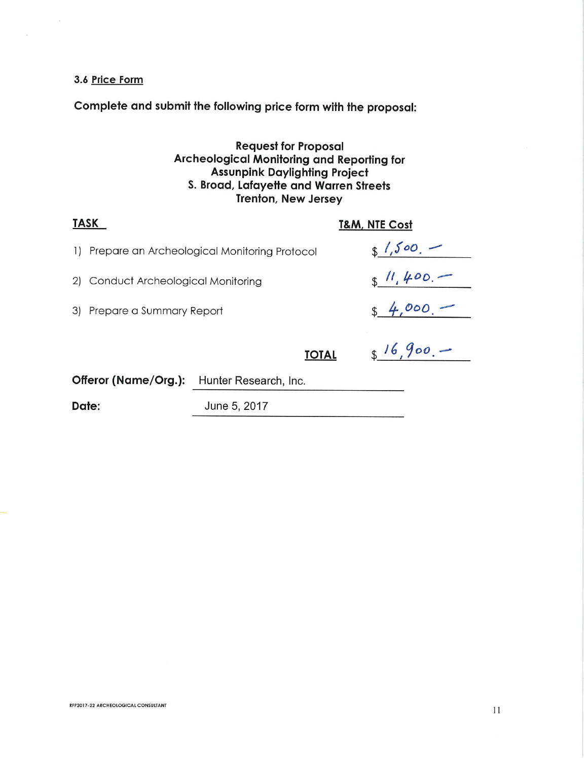#### 3.6 Price Form

 $\bar{\kappa}$ 

 $\mathcal{Q}^{\prime}$ 

Complete and submit the following price form with the proposal:

Request for Proposal<br>Archeological Monitoring and Reporting for<br>Assunpink Daylighting Project<br>S. Broad, Lafayette and Warren Streets Trenton, New Jersey

| <b>TASK</b>            |                                  | <b>T&amp;M, NTE Cost</b>                     |  |            |
|------------------------|----------------------------------|----------------------------------------------|--|------------|
| $\left  \cdot \right $ |                                  | Prepare an Archeological Monitoring Protocol |  | $1.500 -$  |
| 2)                     | Conduct Archeological Monitoring |                                              |  | \$11,400.  |
|                        | 3) Prepare a Summary Report      |                                              |  | $84,000 -$ |
|                        |                                  | <b>TOTAL</b>                                 |  | 816,900.   |
|                        | Offeror (Name/Org.):             | Hunter Research, Inc.                        |  |            |
| Date:                  |                                  | June 5, 2017                                 |  |            |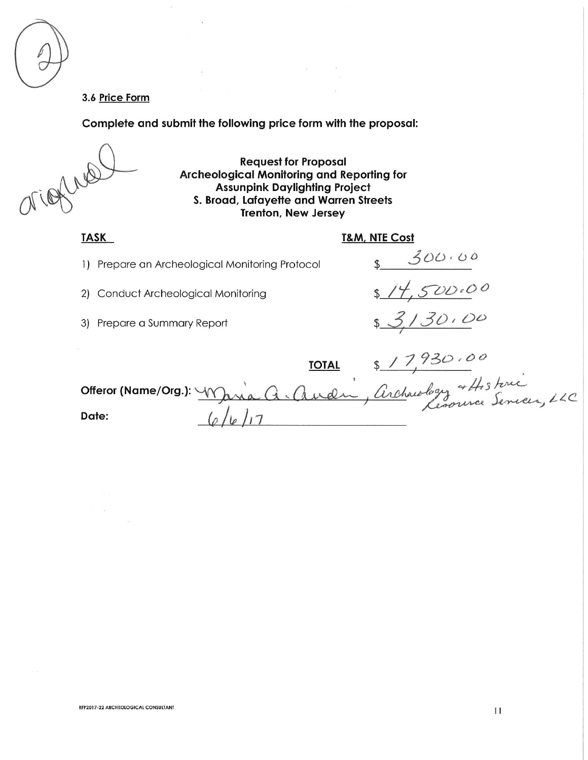#### 3.6 Price Form

Complete and submit the following price form with the proposal:

 $\mathbf{v}_i$  .

**Request for Proposal Archeological Monitoring and Reporting for Assunpink Daylighting Project** S. Broad, Lafayette and Warren Streets **Trenton, New Jersey** 

 $\mathcal{L}_{\rm{max}}$ 

#### **TASK**

### **T&M, NTE Cost**

 $8900.00$ <br> $814,500.00$ <br> $83,30.00$ 

1) Prepare an Archeological Monitoring Protocol

 $\mathcal{L}_{\mathcal{L}}$ 

2) Conduct Archeological Monitoring

3) Prepare a Summary Report

|       | <b>TOTAL</b> |                                                             |
|-------|--------------|-------------------------------------------------------------|
|       |              | Offeror (Name/Org.): Maria A. Audin, Archaeology + Historic |
| Date: |              |                                                             |